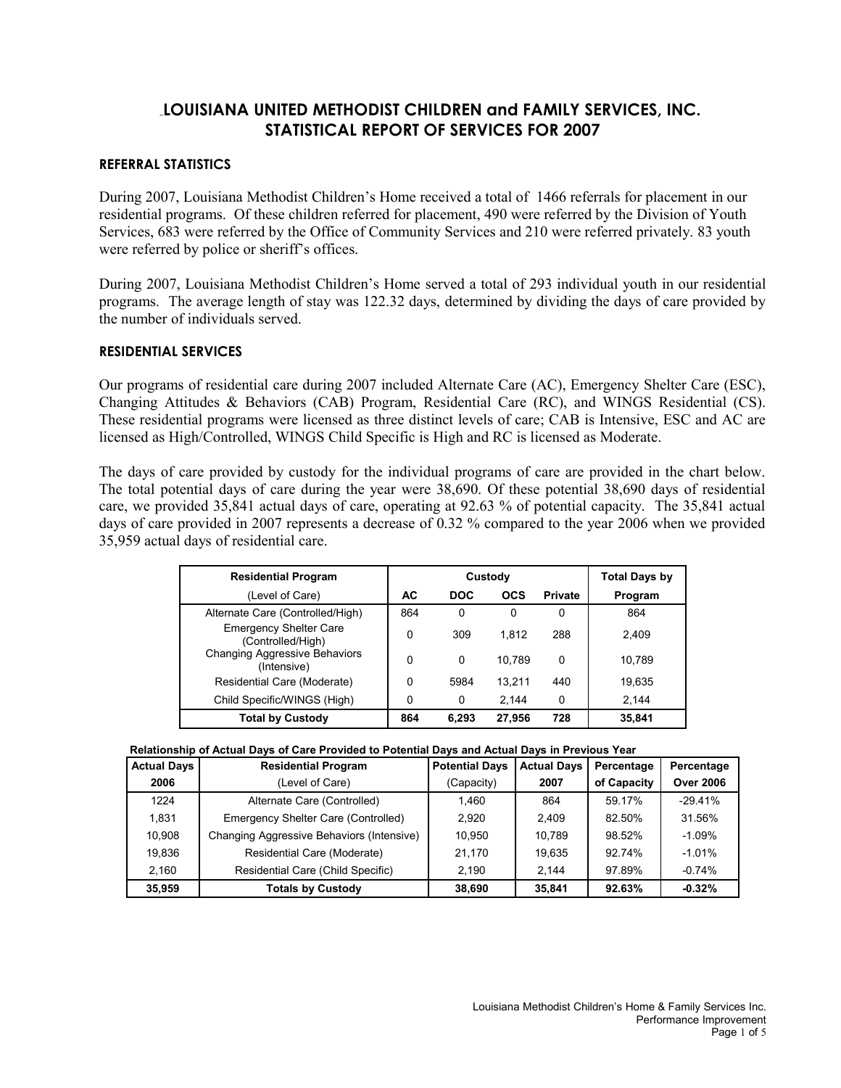# **LOUISIANA UNITED METHODIST CHILDREN and FAMILY SERVICES, INC. STATISTICAL REPORT OF SERVICES FOR 2007**

# **REFERRAL STATISTICS**

During 2007, Louisiana Methodist Children's Home received a total of 1466 referrals for placement in our residential programs. Of these children referred for placement, 490 were referred by the Division of Youth Services, 683 were referred by the Office of Community Services and 210 were referred privately. 83 youth were referred by police or sheriff's offices.

During 2007, Louisiana Methodist Children's Home served a total of 293 individual youth in our residential programs. The average length of stay was 122.32 days, determined by dividing the days of care provided by the number of individuals served.

# **RESIDENTIAL SERVICES**

Our programs of residential care during 2007 included Alternate Care (AC), Emergency Shelter Care (ESC), Changing Attitudes & Behaviors (CAB) Program, Residential Care (RC), and WINGS Residential (CS). These residential programs were licensed as three distinct levels of care; CAB is Intensive, ESC and AC are licensed as High/Controlled, WINGS Child Specific is High and RC is licensed as Moderate.

The days of care provided by custody for the individual programs of care are provided in the chart below. The total potential days of care during the year were 38,690. Of these potential 38,690 days of residential care, we provided 35,841 actual days of care, operating at 92.63 % of potential capacity. The 35,841 actual days of care provided in 2007 represents a decrease of 0.32 % compared to the year 2006 when we provided 35,959 actual days of residential care.

| <b>Residential Program</b>                          | Custody |            |            | <b>Total Days by</b> |         |
|-----------------------------------------------------|---------|------------|------------|----------------------|---------|
| (Level of Care)                                     | AC      | <b>DOC</b> | <b>OCS</b> | <b>Private</b>       | Program |
| Alternate Care (Controlled/High)                    | 864     | $\Omega$   | 0          | 0                    | 864     |
| <b>Emergency Shelter Care</b><br>(Controlled/High)  | 0       | 309        | 1.812      | 288                  | 2.409   |
| <b>Changing Aggressive Behaviors</b><br>(Intensive) | 0       | $\Omega$   | 10.789     | 0                    | 10,789  |
| Residential Care (Moderate)                         | 0       | 5984       | 13.211     | 440                  | 19.635  |
| Child Specific/WINGS (High)                         | 0       | 0          | 2,144      | 0                    | 2,144   |
| <b>Total by Custody</b>                             | 864     | 6,293      | 27,956     | 728                  | 35,841  |

| Relationship of Actual Days of Care Provided to Potential Days and Actual Days in Previous Year |  |
|-------------------------------------------------------------------------------------------------|--|
|                                                                                                 |  |

| <b>Actual Days</b> | <b>Residential Program</b>                | <b>Potential Days</b> | <b>Actual Days</b> | Percentage  | Percentage       |
|--------------------|-------------------------------------------|-----------------------|--------------------|-------------|------------------|
| 2006               | (Level of Care)                           | (Capacity)            | 2007               | of Capacity | <b>Over 2006</b> |
| 1224               | Alternate Care (Controlled)               | 1.460                 | 864                | 59.17%      | $-29.41%$        |
| 1.831              | Emergency Shelter Care (Controlled)       | 2.920                 | 2.409              | 82.50%      | 31.56%           |
| 10.908             | Changing Aggressive Behaviors (Intensive) | 10.950                | 10.789             | 98.52%      | $-1.09%$         |
| 19.836             | Residential Care (Moderate)               | 21.170                | 19.635             | 92.74%      | $-1.01%$         |
| 2.160              | Residential Care (Child Specific)         | 2,190                 | 2.144              | 97.89%      | $-0.74%$         |
| 35,959             | <b>Totals by Custody</b>                  | 38.690                | 35,841             | 92.63%      | $-0.32%$         |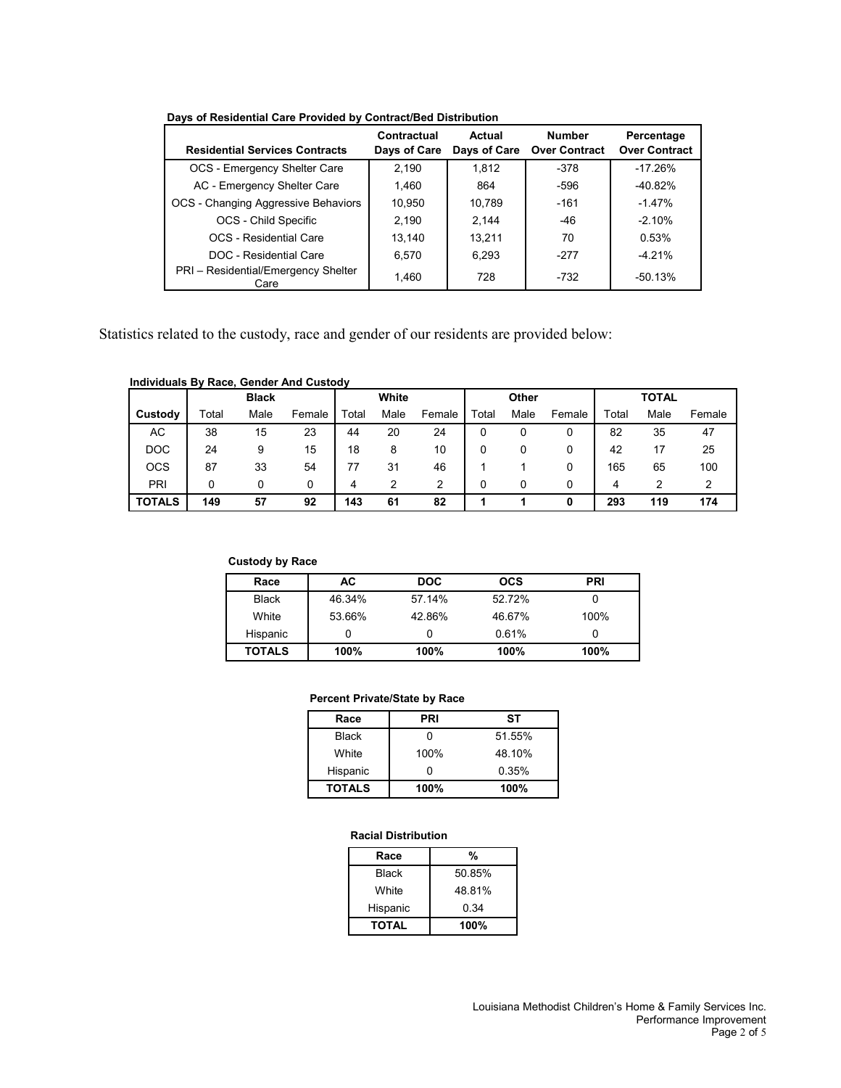| <b>Residential Services Contracts</b>       | Contractual<br>Days of Care | Actual<br>Days of Care | <b>Number</b><br><b>Over Contract</b> | Percentage<br><b>Over Contract</b> |
|---------------------------------------------|-----------------------------|------------------------|---------------------------------------|------------------------------------|
| OCS - Emergency Shelter Care                | 2.190                       | 1.812                  | $-378$                                | $-17.26%$                          |
| AC - Emergency Shelter Care                 | 1.460                       | 864                    | $-596$                                | $-40.82%$                          |
| OCS - Changing Aggressive Behaviors         | 10,950                      | 10.789                 | $-161$                                | $-1.47%$                           |
| OCS - Child Specific                        | 2.190                       | 2.144                  | $-46$                                 | $-2.10%$                           |
| <b>OCS</b> - Residential Care               | 13.140                      | 13.211                 | 70                                    | 0.53%                              |
| DOC - Residential Care                      | 6,570                       | 6.293                  | $-277$                                | $-4.21%$                           |
| PRI - Residential/Emergency Shelter<br>Care | 1,460                       | 728                    | $-732$                                | $-50.13%$                          |

**Days of Residential Care Provided by Contract/Bed Distribution**

Statistics related to the custody, race and gender of our residents are provided below:

#### **Individuals By Race, Gender And Custody**

|               |       | <b>Black</b> |        |       | White |        |       | Other |        |       | <b>TOTAL</b> |        |
|---------------|-------|--------------|--------|-------|-------|--------|-------|-------|--------|-------|--------------|--------|
| Custody       | Total | Male         | Female | Total | Male  | Female | Total | Male  | Female | Total | Male         | Female |
| AC.           | 38    | 15           | 23     | 44    | 20    | 24     |       |       | 0      | 82    | 35           | 47     |
| <b>DOC</b>    | 24    | 9            | 15     | 18    | 8     | 10     |       |       | 0      | 42    |              | 25     |
| <b>OCS</b>    | 87    | 33           | 54     | 77    | 31    | 46     |       |       | 0      | 165   | 65           | 100    |
| PRI           |       | 0            | 0      | 4     |       | 2      | 0     |       | 0      | 4     |              |        |
| <b>TOTALS</b> | 149   | 57           | 92     | 143   | 61    | 82     |       |       | 0      | 293   | 119          | 174    |

### **Custody by Race**

| Race          | AC.    | <b>DOC</b> | <b>OCS</b> | <b>PRI</b> |
|---------------|--------|------------|------------|------------|
| <b>Black</b>  | 46.34% | 57.14%     | 52.72%     |            |
| White         | 53.66% | 42.86%     | 46.67%     | 100%       |
| Hispanic      |        |            | 0.61%      |            |
| <b>TOTALS</b> | 100%   | 100%       | 100%       | 100%       |

### **Percent Private/State by Race**

| Race          | PRI  | SТ     |
|---------------|------|--------|
| <b>Black</b>  |      | 51.55% |
| White         | 100% | 48.10% |
| Hispanic      |      | 0.35%  |
| <b>TOTALS</b> | 100% | 100%   |

#### **Racial Distribution**

| Race         | %      |
|--------------|--------|
| Black        | 50.85% |
| White        | 48.81% |
| Hispanic     | 0.34   |
| <b>TOTAL</b> | 100%   |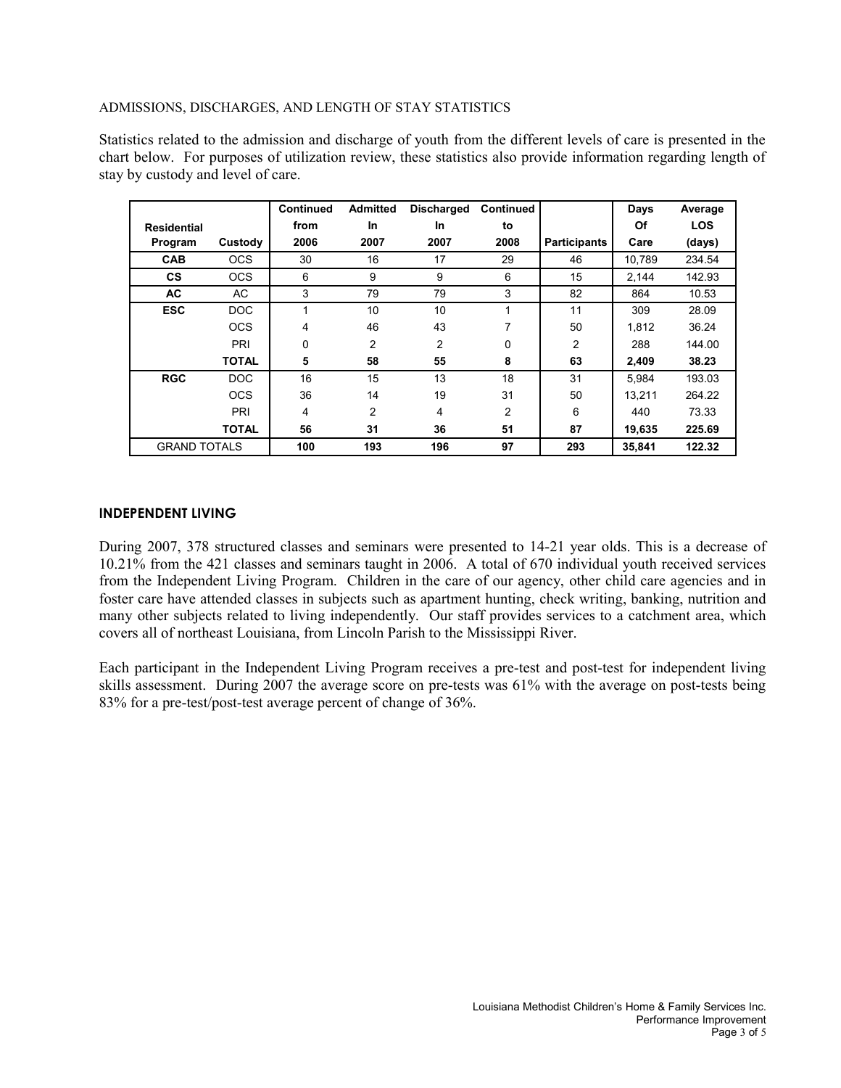### ADMISSIONS, DISCHARGES, AND LENGTH OF STAY STATISTICS

Statistics related to the admission and discharge of youth from the different levels of care is presented in the chart below. For purposes of utilization review, these statistics also provide information regarding length of stay by custody and level of care.

|                     |              | <b>Continued</b> | <b>Admitted</b> | <b>Discharged</b> | <b>Continued</b> |                     | <b>Days</b> | Average    |
|---------------------|--------------|------------------|-----------------|-------------------|------------------|---------------------|-------------|------------|
| <b>Residential</b>  |              | from             | In              | <b>In</b>         | to               |                     | Οf          | <b>LOS</b> |
| Program             | Custody      | 2006             | 2007            | 2007              | 2008             | <b>Participants</b> | Care        | (days)     |
| <b>CAB</b>          | <b>OCS</b>   | 30               | 16              | 17                | 29               | 46                  | 10.789      | 234.54     |
| <b>CS</b>           | <b>OCS</b>   | 6                | 9               | 9                 | 6                | 15                  | 2,144       | 142.93     |
| <b>AC</b>           | <b>AC</b>    | 3                | 79              | 79                | 3                | 82                  | 864         | 10.53      |
| <b>ESC</b>          | <b>DOC</b>   | 1                | 10              | 10                | 4                | 11                  | 309         | 28.09      |
|                     | <b>OCS</b>   | 4                | 46              | 43                | 7                | 50                  | 1.812       | 36.24      |
|                     | PRI          | 0                | 2               | $\overline{c}$    | 0                | $\overline{2}$      | 288         | 144.00     |
|                     | <b>TOTAL</b> | 5                | 58              | 55                | 8                | 63                  | 2,409       | 38.23      |
| <b>RGC</b>          | <b>DOC</b>   | 16               | 15              | 13                | 18               | 31                  | 5.984       | 193.03     |
|                     | <b>OCS</b>   | 36               | 14              | 19                | 31               | 50                  | 13.211      | 264.22     |
|                     | PRI          | 4                | $\overline{c}$  | 4                 | 2                | 6                   | 440         | 73.33      |
|                     | <b>TOTAL</b> | 56               | 31              | 36                | 51               | 87                  | 19,635      | 225.69     |
| <b>GRAND TOTALS</b> |              | 100              | 193             | 196               | 97               | 293                 | 35.841      | 122.32     |

# **INDEPENDENT LIVING**

During 2007, 378 structured classes and seminars were presented to 14-21 year olds. This is a decrease of 10.21% from the 421 classes and seminars taught in 2006. A total of 670 individual youth received services from the Independent Living Program. Children in the care of our agency, other child care agencies and in foster care have attended classes in subjects such as apartment hunting, check writing, banking, nutrition and many other subjects related to living independently. Our staff provides services to a catchment area, which covers all of northeast Louisiana, from Lincoln Parish to the Mississippi River.

Each participant in the Independent Living Program receives a pre-test and post-test for independent living skills assessment. During 2007 the average score on pre-tests was 61% with the average on post-tests being 83% for a pre-test/post-test average percent of change of 36%.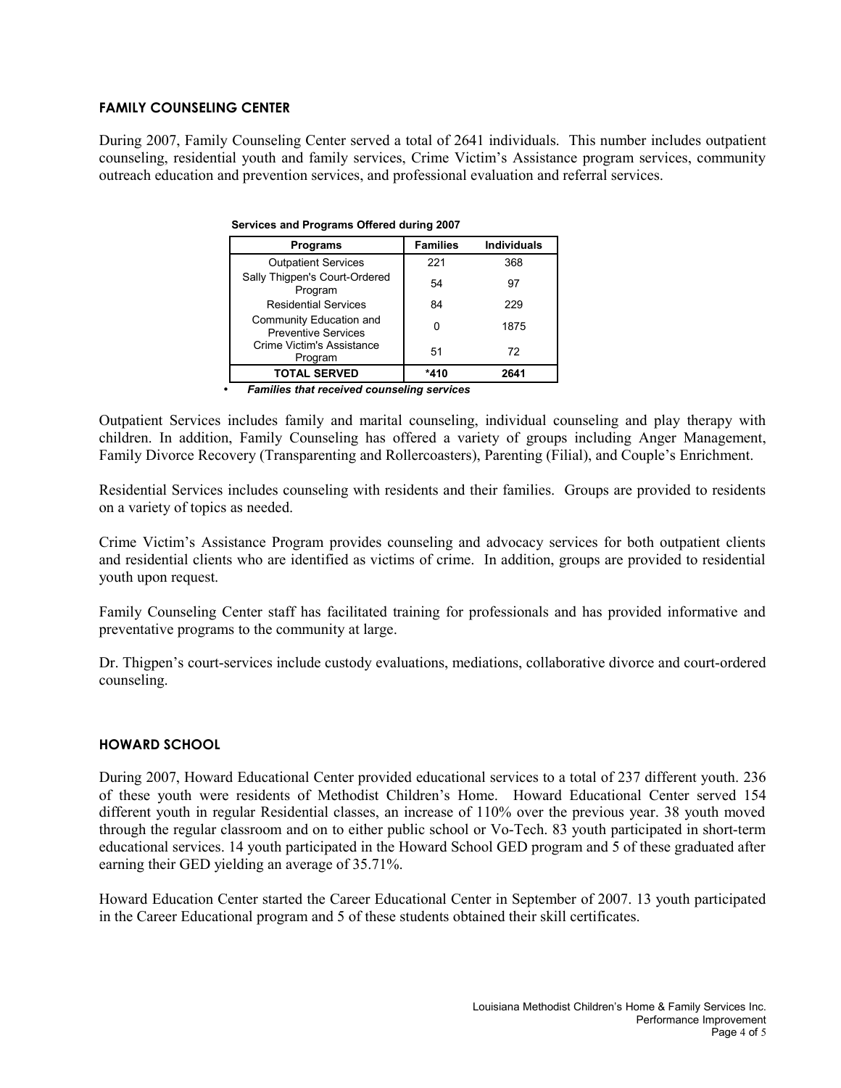# **FAMILY COUNSELING CENTER**

During 2007, Family Counseling Center served a total of 2641 individuals. This number includes outpatient counseling, residential youth and family services, Crime Victim's Assistance program services, community outreach education and prevention services, and professional evaluation and referral services.

| Programs                                              | <b>Families</b> | <b>Individuals</b> |
|-------------------------------------------------------|-----------------|--------------------|
| <b>Outpatient Services</b>                            | 221             | 368                |
| Sally Thigpen's Court-Ordered<br>Program              | 54              | 97                 |
| <b>Residential Services</b>                           | 84              | 229                |
| Community Education and<br><b>Preventive Services</b> |                 | 1875               |
| Crime Victim's Assistance<br>Program                  | 51              | 72                 |
| <b>TOTAL SERVED</b>                                   | *410            | 2641               |

|  | Services and Programs Offered during 2007 |  |  |
|--|-------------------------------------------|--|--|
|  |                                           |  |  |

• *Families that received counseling services*

Outpatient Services includes family and marital counseling, individual counseling and play therapy with children. In addition, Family Counseling has offered a variety of groups including Anger Management, Family Divorce Recovery (Transparenting and Rollercoasters), Parenting (Filial), and Couple's Enrichment.

Residential Services includes counseling with residents and their families. Groups are provided to residents on a variety of topics as needed.

Crime Victim's Assistance Program provides counseling and advocacy services for both outpatient clients and residential clients who are identified as victims of crime. In addition, groups are provided to residential youth upon request.

Family Counseling Center staff has facilitated training for professionals and has provided informative and preventative programs to the community at large.

Dr. Thigpen's court-services include custody evaluations, mediations, collaborative divorce and court-ordered counseling.

### **HOWARD SCHOOL**

During 2007, Howard Educational Center provided educational services to a total of 237 different youth. 236 of these youth were residents of Methodist Children's Home. Howard Educational Center served 154 different youth in regular Residential classes, an increase of 110% over the previous year. 38 youth moved through the regular classroom and on to either public school or Vo-Tech. 83 youth participated in short-term educational services. 14 youth participated in the Howard School GED program and 5 of these graduated after earning their GED yielding an average of 35.71%.

Howard Education Center started the Career Educational Center in September of 2007. 13 youth participated in the Career Educational program and 5 of these students obtained their skill certificates.